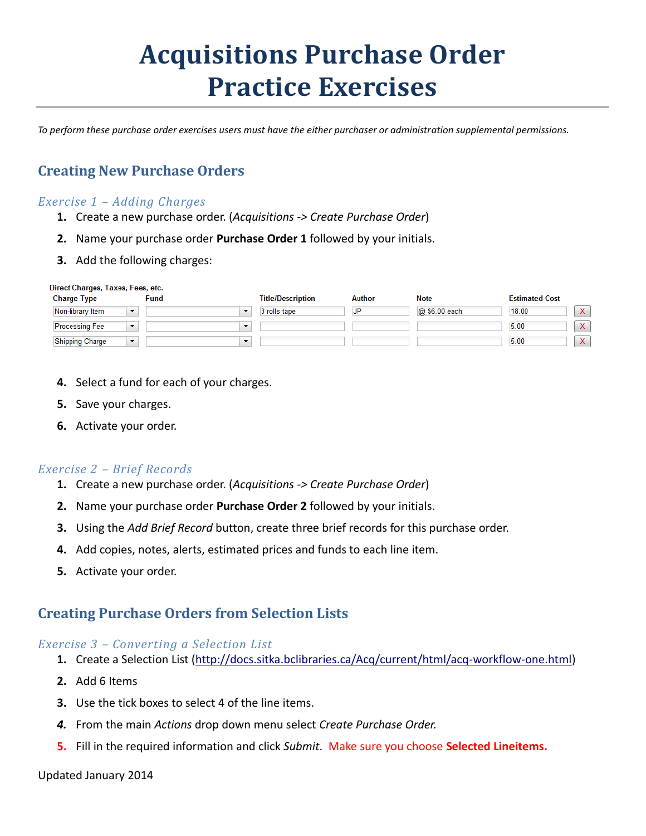# **Acquisitions Purchase Order Practice Exercises**

*To perform these purchase order exercises users must have the either purchaser or administration supplemental permissions.*

# **Creating New Purchase Orders**

## *Exercise 1 – Adding Charges*

- **1.** Create a new purchase order. (*Acquisitions -> Create Purchase Order*)
- **2.** Name your purchase order **Purchase Order 1** followed by your initials.
- **3.** Add the following charges:

| Direct Charges, Taxes, Fees, etc. |                          |                          |               |               |                        |
|-----------------------------------|--------------------------|--------------------------|---------------|---------------|------------------------|
| <b>Charge Type</b>                | <b>Fund</b>              | <b>Title/Description</b> | <b>Author</b> | <b>Note</b>   | <b>Estimated Cost</b>  |
| Non-library Item<br>$\cdot$       |                          | 3 rolls tape             | <b>JP</b>     | @ \$6.00 each | $X -$<br>18.00         |
| <b>Processing Fee</b><br>$\cdot$  | $\overline{\phantom{a}}$ |                          |               |               | $X -$<br>5.00          |
| <b>Shipping Charge</b><br>$\cdot$ | $\overline{\phantom{a}}$ |                          |               |               | $\mathsf{X}^-$<br>5.00 |

- **4.** Select a fund for each of your charges.
- **5.** Save your charges.
- **6.** Activate your order.

### *Exercise 2 – Brief Records*

- **1.** Create a new purchase order. (*Acquisitions -> Create Purchase Order*)
- **2.** Name your purchase order **Purchase Order 2** followed by your initials.
- **3.** Using the *Add Brief Record* button, create three brief records for this purchase order.
- **4.** Add copies, notes, alerts, estimated prices and funds to each line item.
- **5.** Activate your order.

# **Creating Purchase Orders from Selection Lists**

#### *Exercise 3 – Converting a Selection List*

- **1.** Create a Selection List [\(http://docs.sitka.bclibraries.ca/Acq/current/html/acq-workflow-one.html\)](http://docs.sitka.bclibraries.ca/Acq/current/html/acq-workflow-one.html)
- **2.** Add 6 Items
- **3.** Use the tick boxes to select 4 of the line items.
- *4.* From the main *Actions* drop down menu select *Create Purchase Order.*
- **5.** Fill in the required information and click *Submit*. Make sure you choose **Selected Lineitems.**

#### Updated January 2014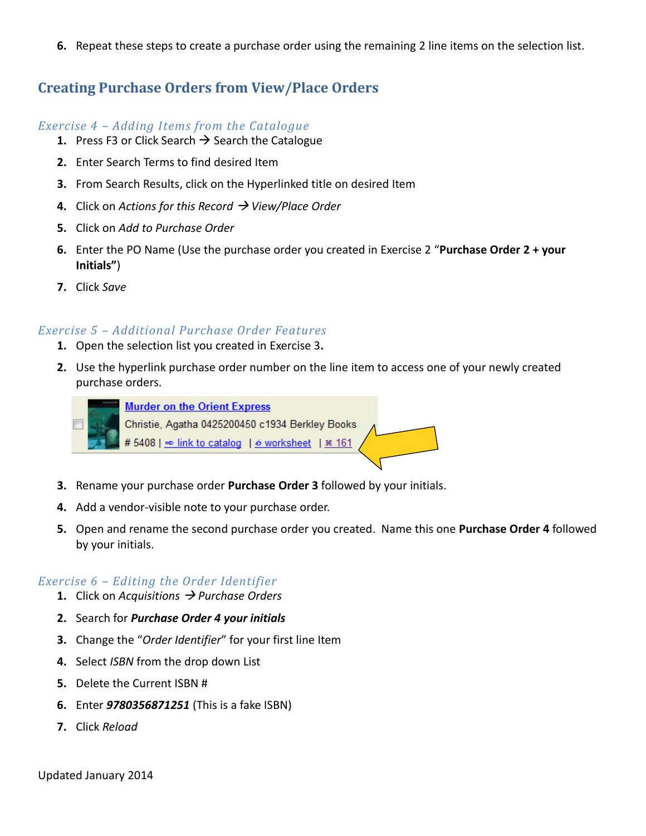**6.** Repeat these steps to create a purchase order using the remaining 2 line items on the selection list.

# **Creating Purchase Orders from View/Place Orders**

## *Exercise 4 – Adding Items from the Catalogue*

- **1.** Press F3 or Click Search  $\rightarrow$  Search the Catalogue
- **2.** Enter Search Terms to find desired Item
- **3.** From Search Results, click on the Hyperlinked title on desired Item
- **4.** Click on *Actions for this Record View/Place Order*
- **5.** Click on *Add to Purchase Order*
- **6.** Enter the PO Name (Use the purchase order you created in Exercise 2 "**Purchase Order 2 + your Initials"**)
- **7.** Click *Save*

## *Exercise 5 – Additional Purchase Order Features*

- **1.** Open the selection list you created in Exercise 3**.**
- **2.** Use the hyperlink purchase order number on the line item to access one of your newly created purchase orders.



**Murder on the Orient Express** Christie, Agatha 0425200450 c1934 Berkley Books #5408 | ⇒ link to catalog | 6 worksheet |  $\approx$  161

- **3.** Rename your purchase order **Purchase Order 3** followed by your initials.
- **4.** Add a vendor-visible note to your purchase order.
- **5.** Open and rename the second purchase order you created. Name this one **Purchase Order 4** followed by your initials.

### *Exercise 6 – Editing the Order Identifier*

- **1.** Click on *Acquisitions Purchase Orders*
- **2.** Search for *Purchase Order 4 your initials*
- **3.** Change the "*Order Identifier*" for your first line Item
- **4.** Select *ISBN* from the drop down List
- **5.** Delete the Current ISBN #
- **6.** Enter *9780356871251* (This is a fake ISBN)
- **7.** Click *Reload*

Updated January 2014